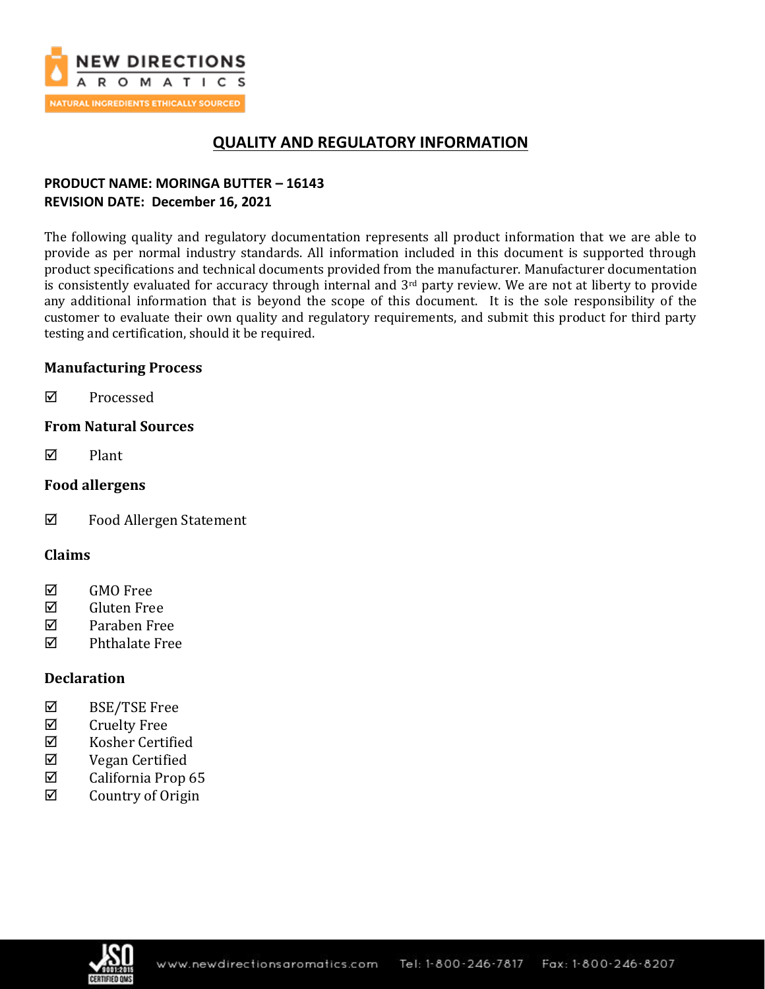

# **QUALITY AND REGULATORY INFORMATION**

## **PRODUCT NAME: MORINGA BUTTER – 16143 REVISION DATE: December 16, 2021**

The following quality and regulatory documentation represents all product information that we are able to provide as per normal industry standards. All information included in this document is supported through product specifications and technical documents provided from the manufacturer. Manufacturer documentation is consistently evaluated for accuracy through internal and 3<sup>rd</sup> party review. We are not at liberty to provide any additional information that is beyond the scope of this document. It is the sole responsibility of the customer to evaluate their own quality and regulatory requirements, and submit this product for third party testing and certification, should it be required.

## **Manufacturing Process**

**☑** Processed

## **From Natural Sources**

 $\nabla$  Plant

## **Food allergens**

Food Allergen Statement

## **Claims**

- **☑** GMO Free
- Gluten Free
- Paraben Free
- $\nabla$  Phthalate Free

## **Declaration**

- BSE/TSE Free
- $\boxtimes$  Cruelty Free
- $\boxtimes$  Kosher Certified
- Vegan Certified
- $\boxtimes$  California Prop 65
- $\boxtimes$  Country of Origin

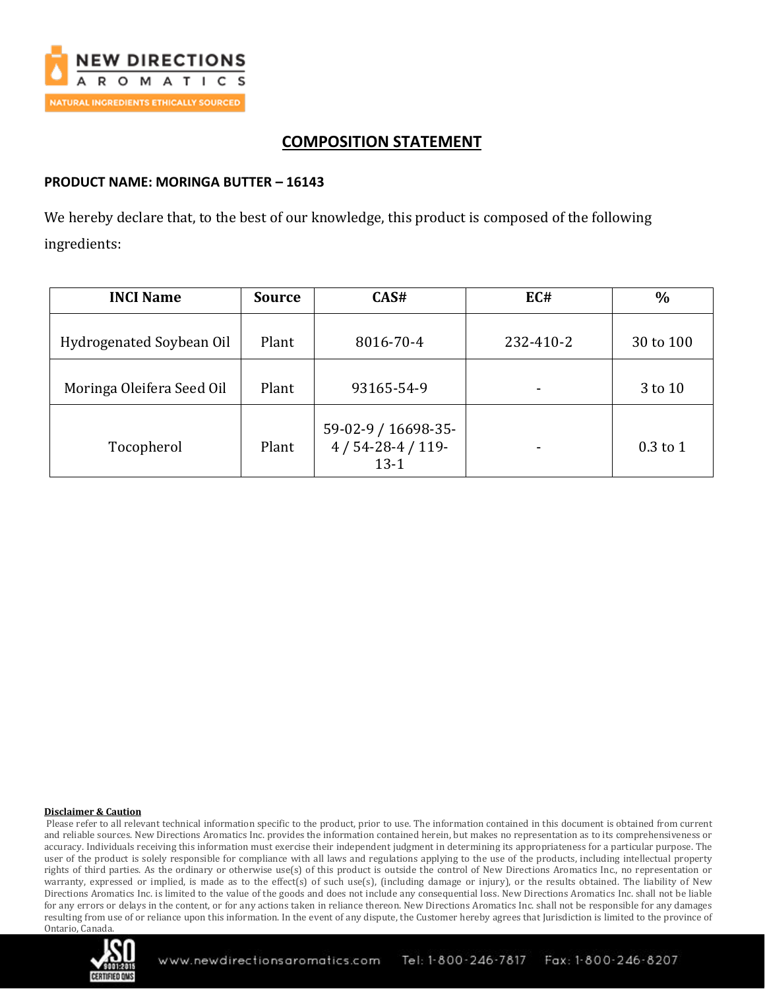

# **COMPOSITION STATEMENT**

## **PRODUCT NAME: MORINGA BUTTER – 16143**

We hereby declare that, to the best of our knowledge, this product is composed of the following ingredients:

| <b>INCI Name</b>          | <b>Source</b> | CAS#                                              | EC#       | $\frac{0}{0}$ |
|---------------------------|---------------|---------------------------------------------------|-----------|---------------|
| Hydrogenated Soybean Oil  | Plant         | 8016-70-4                                         | 232-410-2 | 30 to 100     |
| Moringa Oleifera Seed Oil | Plant         | 93165-54-9                                        |           | 3 to 10       |
| Tocopherol                | Plant         | 59-02-9 / 16698-35-<br>$4/54-28-4/119-$<br>$13-1$ | -         | $0.3$ to 1    |

#### **Disclaimer & Caution**

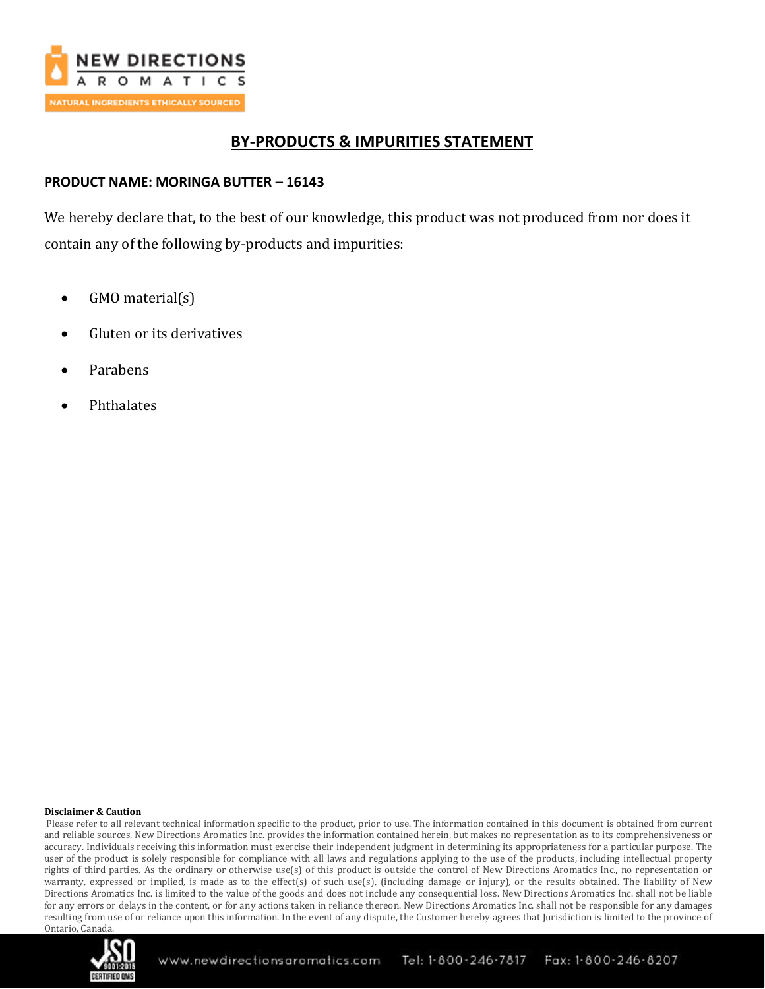

## **BY-PRODUCTS & IMPURITIES STATEMENT**

## **PRODUCT NAME: MORINGA BUTTER – 16143**

We hereby declare that, to the best of our knowledge, this product was not produced from nor does it contain any of the following by-products and impurities:

- GMO material(s)
- Gluten or its derivatives
- Parabens
- Phthalates

#### **Disclaimer & Caution**

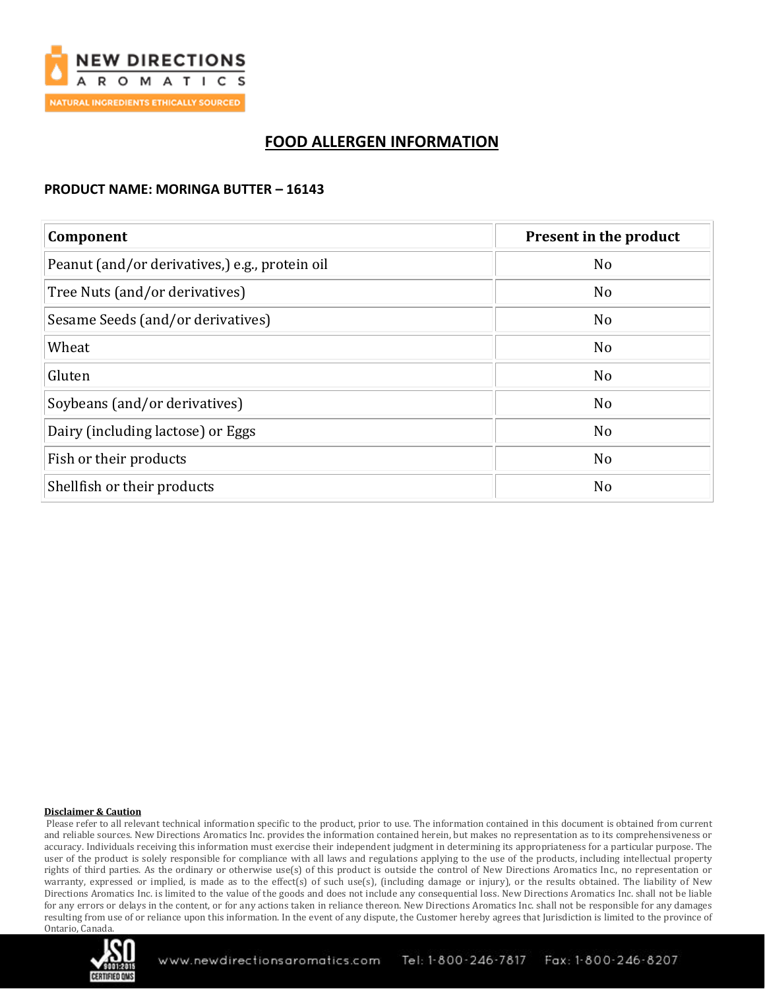

# **FOOD ALLERGEN INFORMATION**

### **PRODUCT NAME: MORINGA BUTTER – 16143**

| Component                                      | Present in the product |  |
|------------------------------------------------|------------------------|--|
| Peanut (and/or derivatives,) e.g., protein oil | N <sub>o</sub>         |  |
| Tree Nuts (and/or derivatives)                 | N <sub>o</sub>         |  |
| Sesame Seeds (and/or derivatives)              | N <sub>o</sub>         |  |
| Wheat                                          | N <sub>o</sub>         |  |
| Gluten                                         | N <sub>o</sub>         |  |
| Soybeans (and/or derivatives)                  | N <sub>o</sub>         |  |
| Dairy (including lactose) or Eggs              | N <sub>o</sub>         |  |
| Fish or their products                         | N <sub>o</sub>         |  |
| Shellfish or their products                    | N <sub>o</sub>         |  |

#### **Disclaimer & Caution**

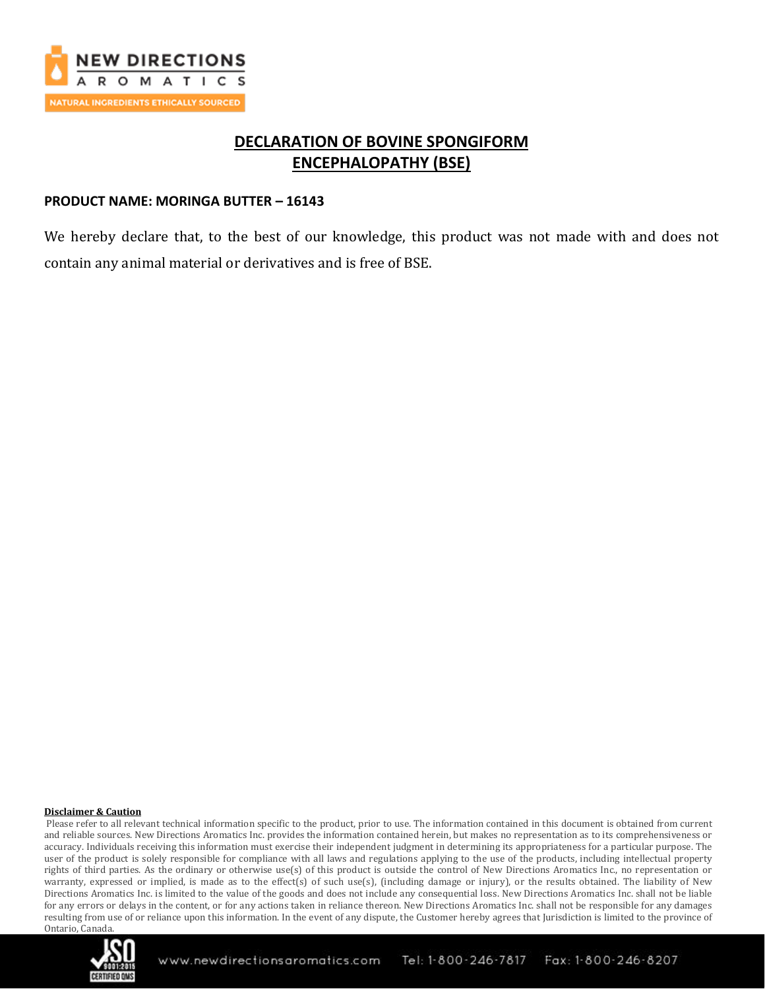

# **DECLARATION OF BOVINE SPONGIFORM ENCEPHALOPATHY (BSE)**

### **PRODUCT NAME: MORINGA BUTTER – 16143**

We hereby declare that, to the best of our knowledge, this product was not made with and does not contain any animal material or derivatives and is free of BSE.

#### **Disclaimer & Caution**

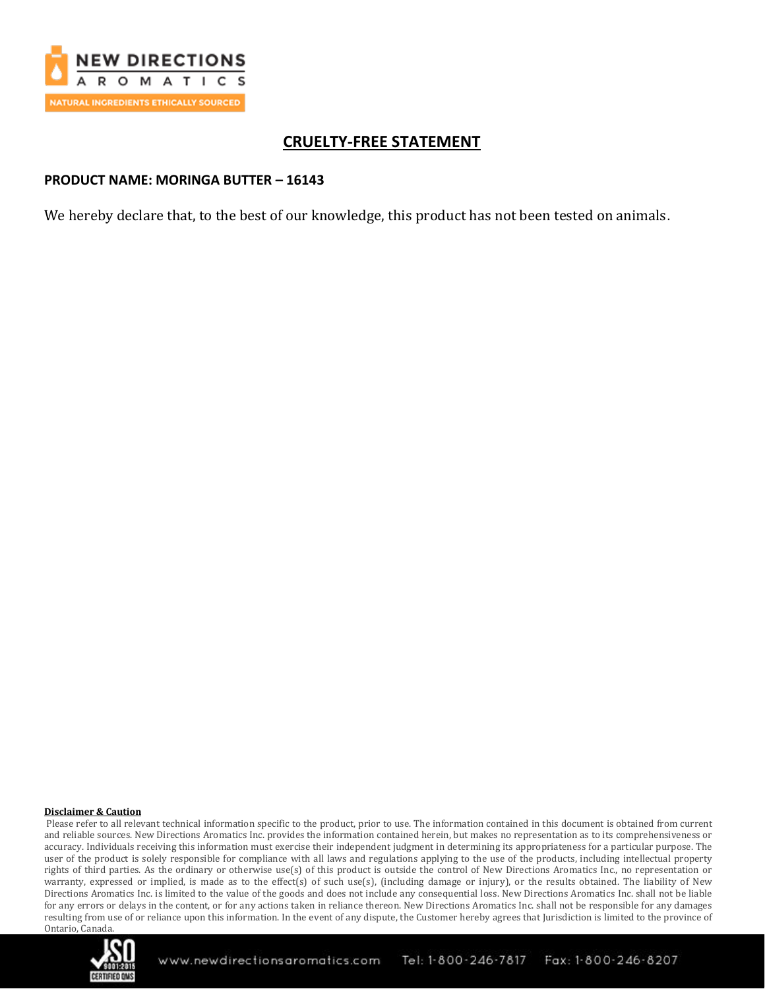

# **CRUELTY-FREE STATEMENT**

### **PRODUCT NAME: MORINGA BUTTER – 16143**

We hereby declare that, to the best of our knowledge, this product has not been tested on animals.

#### **Disclaimer & Caution**

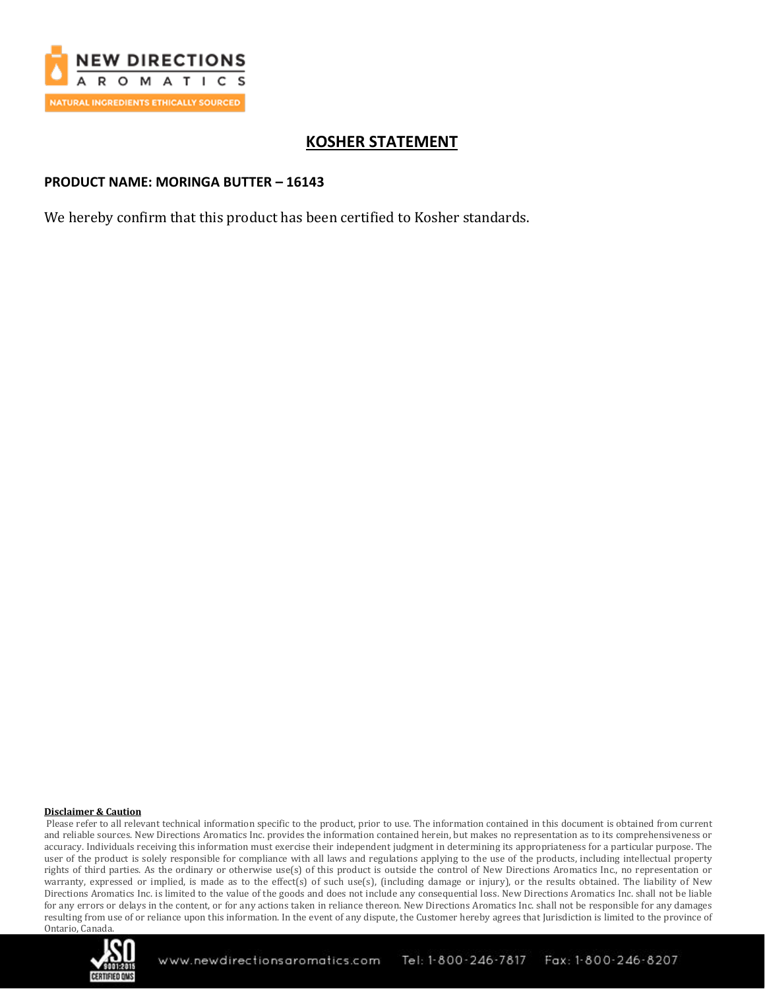

# **KOSHER STATEMENT**

## **PRODUCT NAME: MORINGA BUTTER – 16143**

We hereby confirm that this product has been certified to Kosher standards.

#### **Disclaimer & Caution**

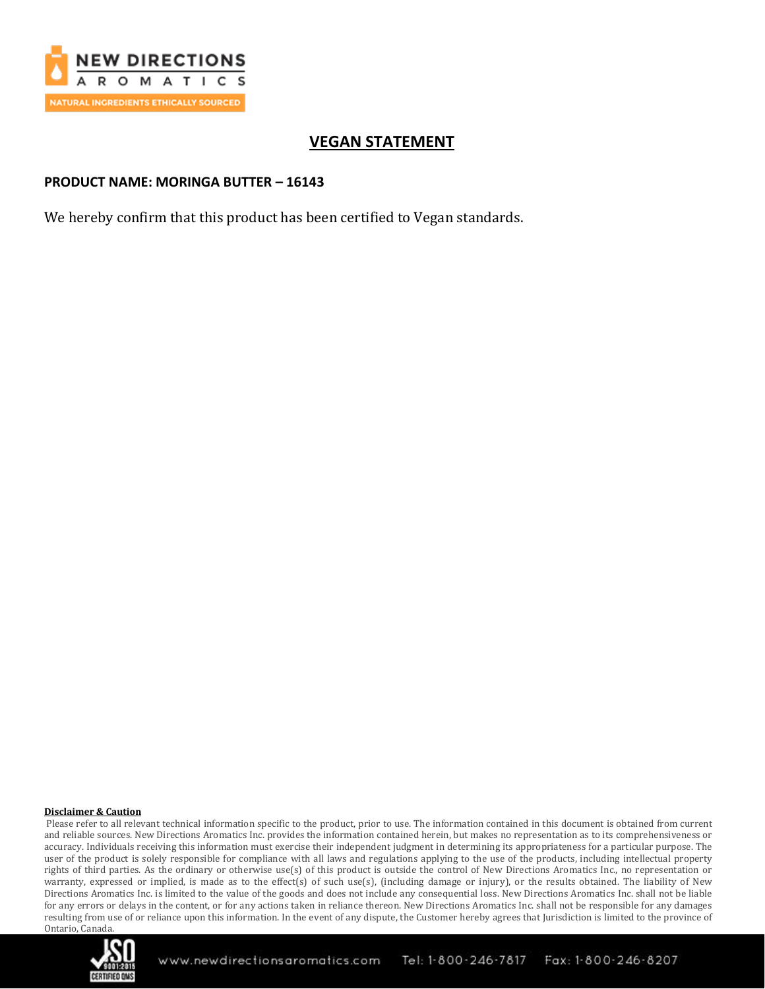

# **VEGAN STATEMENT**

## **PRODUCT NAME: MORINGA BUTTER – 16143**

We hereby confirm that this product has been certified to Vegan standards.

#### **Disclaimer & Caution**

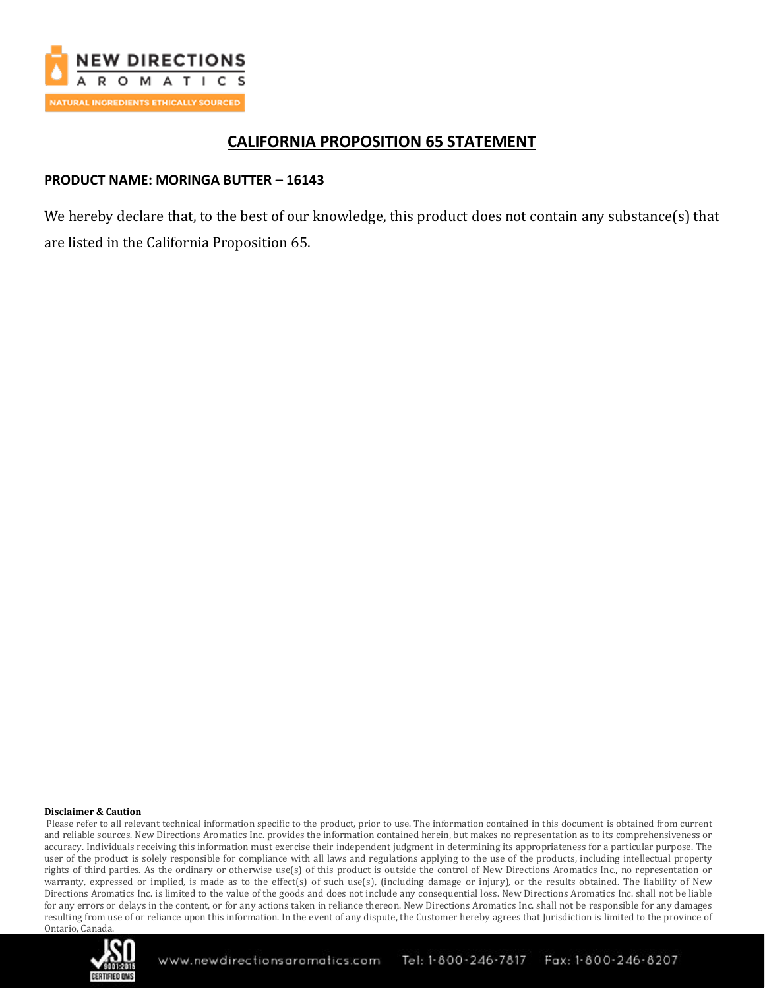

## **CALIFORNIA PROPOSITION 65 STATEMENT**

## **PRODUCT NAME: MORINGA BUTTER – 16143**

We hereby declare that, to the best of our knowledge, this product does not contain any substance(s) that are listed in the California Proposition 65.

#### **Disclaimer & Caution**